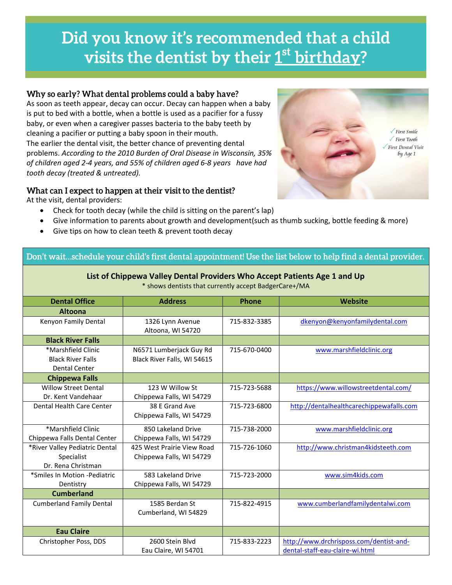# Did you know it's recommended that a child visits the dentist by their 1<sup>st</sup> birthday?

#### Why so early? What dental problems could a baby have?

As soon as teeth appear, decay can occur. Decay can happen when a baby is put to bed with a bottle, when a bottle is used as a pacifier for a fussy baby, or even when a caregiver passes bacteria to the baby teeth by cleaning a pacifier or putting a baby spoon in their mouth. The earlier the dental visit, the better chance of preventing dental problems. *According to the 2010 Burden of Oral Disease in Wisconsin, 35% of children aged 2-4 years, and 55% of children aged 6-8 years have had tooth decay (treated & untreated).*

### What can I expect to happen at their visit to the dentist?

At the visit, dental providers:



- Check for tooth decay (while the child is sitting on the parent's lap)
- Give information to parents about growth and development(such as thumb sucking, bottle feeding & more)
- Give tips on how to clean teeth & prevent tooth decay

## Don't wait...schedule your child's first dental appointment! Use the list below to help find a dental provider.

#### **List of Chippewa Valley Dental Providers Who Accept Patients Age 1 and Up**

| <b>Dental Office</b>            | <b>Address</b>              | <b>Phone</b> | Website                                  |  |  |
|---------------------------------|-----------------------------|--------------|------------------------------------------|--|--|
| <b>Altoona</b>                  |                             |              |                                          |  |  |
| Kenyon Family Dental            | 1326 Lynn Avenue            | 715-832-3385 | dkenyon@kenyonfamilydental.com           |  |  |
|                                 | Altoona, WI 54720           |              |                                          |  |  |
| <b>Black River Falls</b>        |                             |              |                                          |  |  |
| *Marshfield Clinic              | N6571 Lumberjack Guy Rd     | 715-670-0400 | www.marshfieldclinic.org                 |  |  |
| <b>Black River Falls</b>        | Black River Falls, WI 54615 |              |                                          |  |  |
| Dental Center                   |                             |              |                                          |  |  |
| <b>Chippewa Falls</b>           |                             |              |                                          |  |  |
| <b>Willow Street Dental</b>     | 123 W Willow St             | 715-723-5688 | https://www.willowstreetdental.com/      |  |  |
| Dr. Kent Vandehaar              | Chippewa Falls, WI 54729    |              |                                          |  |  |
| Dental Health Care Center       | 38 E Grand Ave              | 715-723-6800 | http://dentalhealthcarechippewafalls.com |  |  |
|                                 | Chippewa Falls, WI 54729    |              |                                          |  |  |
| *Marshfield Clinic              | 850 Lakeland Drive          | 715-738-2000 | www.marshfieldclinic.org                 |  |  |
| Chippewa Falls Dental Center    | Chippewa Falls, WI 54729    |              |                                          |  |  |
| *River Valley Pediatric Dental  | 425 West Prairie View Road  | 715-726-1060 | http://www.christman4kidsteeth.com       |  |  |
| Specialist                      | Chippewa Falls, WI 54729    |              |                                          |  |  |
| Dr. Rena Christman              |                             |              |                                          |  |  |
| *Smiles In Motion -Pediatric    | 583 Lakeland Drive          | 715-723-2000 | www.sim4kids.com                         |  |  |
| Dentistry                       | Chippewa Falls, WI 54729    |              |                                          |  |  |
| <b>Cumberland</b>               |                             |              |                                          |  |  |
| <b>Cumberland Family Dental</b> | 1585 Berdan St              | 715-822-4915 | www.cumberlandfamilydentalwi.com         |  |  |
|                                 | Cumberland, WI 54829        |              |                                          |  |  |
|                                 |                             |              |                                          |  |  |
| <b>Eau Claire</b>               |                             |              |                                          |  |  |
| Christopher Poss, DDS           | 2600 Stein Blvd             | 715-833-2223 | http://www.drchrisposs.com/dentist-and-  |  |  |
|                                 | Eau Claire, WI 54701        |              | dental-staff-eau-claire-wi.html          |  |  |

\* shows dentists that currently accept BadgerCare+/MA